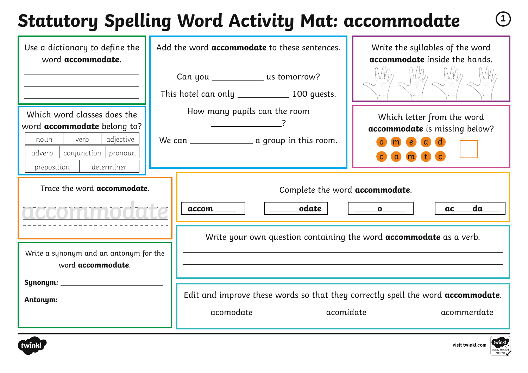### **Statutory Spelling Word Activity Mat: accommodate <sup>1</sup>**

| Use a dictionary to define the<br>word accommodate.                                                                                                          | Add the word accommodate to these sentences.                                         | Write the syllables of the word<br>accommodate inside the hands.                                               |  |
|--------------------------------------------------------------------------------------------------------------------------------------------------------------|--------------------------------------------------------------------------------------|----------------------------------------------------------------------------------------------------------------|--|
|                                                                                                                                                              | Can you ____________ us tomorrow?<br>This hotel can only _______________ 100 guests. |                                                                                                                |  |
| Which word classes does the<br>word <b>accommodate</b> belong to?<br>verb<br>adjective<br>noun<br>adverb<br>conjunction pronoun<br>determiner<br>preposition | How many pupils can the room<br>We can _____________________ a group in this room.   | Which letter from the word<br>accommodate is missing below?<br>$\epsilon$<br>$\alpha$<br>$\bullet$<br>$\alpha$ |  |
| Trace the word <b>accommodate</b> .                                                                                                                          | Complete the word accommodate.<br>odate<br>accom                                     | da<br>ac<br>$\_\_o$                                                                                            |  |
| Write a synonym and an antonym for the<br>word accommodate.                                                                                                  | Write your own question containing the word <b>accommodate</b> as a verb.            |                                                                                                                |  |
|                                                                                                                                                              | acomodate                                                                            | Edit and improve these words so that they correctly spell the word accommodate.<br>acomidate<br>acommerdate    |  |



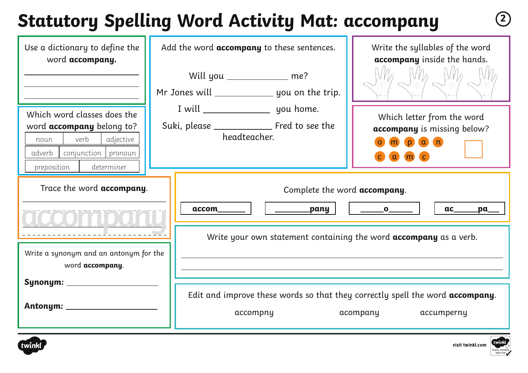## **Statutory Spelling Word Activity Mat: accompany <sup>2</sup>**

| Use a dictionary to define the<br>word accompany.                                                                                                     | Add the word <b>accompany</b> to these sentences.                                                 | Write the syllables of the word<br>accompany inside the hands.                                     |
|-------------------------------------------------------------------------------------------------------------------------------------------------------|---------------------------------------------------------------------------------------------------|----------------------------------------------------------------------------------------------------|
| Which word classes does the<br>word accompany belong to?<br>verb<br>adjective<br>noun<br>adverb  <br>conjunction pronoun<br>determiner<br>preposition | Will you ____________ me?<br>Mr Jones will _____________________ you on the trip.<br>headteacher. | Which letter from the word<br>accompany is missing below?<br>$m$ $p$ $a$<br>(n)<br>a m c           |
| Trace the word <b>accompany</b> .                                                                                                                     | Complete the word accompany.<br>accom<br>_________pany                                            | ac<br>$\overline{\phantom{a}}$ $\overline{\phantom{a}}$ $\overline{\phantom{a}}$<br>$\mathbf{p}$ a |
| Write a synonym and an antonym for the<br>word accompany.                                                                                             | Write your own statement containing the word <b>accompany</b> as a verb.                          |                                                                                                    |
| Synonym: ___________<br>Antonym: ____________                                                                                                         | Edit and improve these words so that they correctly spell the word accompany.<br>accompny         | acompany accumperny                                                                                |



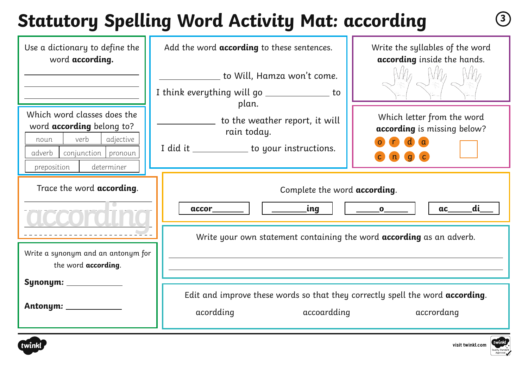# **Statutory Spelling Word Activity Mat: according <sup>3</sup>**

| Use a dictionary to define the<br>word according.<br>Which word classes does the<br>word <b>according</b> belong to?<br>verb<br>adjective<br>noun<br>adverb<br>conjunction pronoun | Add the word <b>according</b> to these sentences.<br>to Will, Hamza won't come.<br>I think everything will go ________________ to<br>plan.<br>to the weather report, it will<br>rain today.<br>I did it _____________ to your instructions. | Write the syllables of the word<br>according inside the hands.<br>Which letter from the word<br>according is missing below?<br>(d)<br>$\blacksquare$<br>$\mathbf{q}$ |
|------------------------------------------------------------------------------------------------------------------------------------------------------------------------------------|---------------------------------------------------------------------------------------------------------------------------------------------------------------------------------------------------------------------------------------------|----------------------------------------------------------------------------------------------------------------------------------------------------------------------|
| preposition<br>determiner<br>Trace the word <b>according</b> .                                                                                                                     | Complete the word according.<br>di<br>accor  <br>$\overline{\phantom{a}}$ $\overline{\phantom{a}}$ $\overline{\phantom{a}}$ $\overline{\phantom{a}}$<br>ac                                                                                  |                                                                                                                                                                      |
| Write a synonym and an antonym for<br>the word according.                                                                                                                          | Write your own statement containing the word <b>according</b> as an adverb.                                                                                                                                                                 |                                                                                                                                                                      |
| Synonym: __________                                                                                                                                                                | Edit and improve these words so that they correctly spell the word according.<br>acordding<br>accoardding<br>accrordang                                                                                                                     |                                                                                                                                                                      |



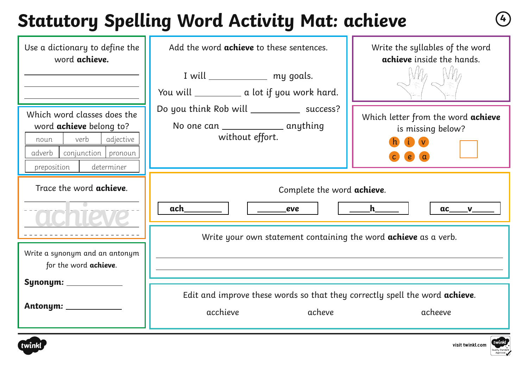#### **Statutory Spelling Word Activity Mat: achieve <sup>4</sup>**

| Use a dictionary to define the<br>word achieve.                                                                                                          | Add the word <b>achieve</b> to these sentences.<br>I will _______________ my goals.<br>You will _____________ a lot if you work hard. | Write the syllables of the word<br>achieve inside the hands. |  |
|----------------------------------------------------------------------------------------------------------------------------------------------------------|---------------------------------------------------------------------------------------------------------------------------------------|--------------------------------------------------------------|--|
| Which word classes does the<br>word <b>achieve</b> belong to?<br>verb<br>adjective<br>noun<br>adverb<br>conjunction pronoun<br>determiner<br>preposition | Do you think Rob will ______________ success?<br>No one can ___________________ anything<br>without effort.                           | Which letter from the word achieve<br>is missing below?      |  |
| Trace the word <b>achieve</b> .                                                                                                                          | Complete the word achieve.<br>ach<br>eve                                                                                              | h                                                            |  |
| Write a synonym and an antonym<br>for the word achieve.                                                                                                  | Write your own statement containing the word <b>achieve</b> as a verb.                                                                |                                                              |  |
| Synonym: ____________<br>Antonym: _____________                                                                                                          | Edit and improve these words so that they correctly spell the word achieve.<br>acchieve<br>acheve<br>acheeve                          |                                                              |  |